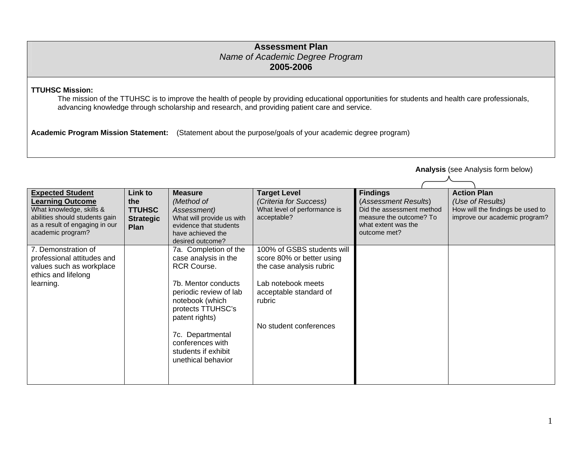## **Assessment Plan** *Name of Academic Degree Program*  **2005-2006**

**TTUHSC Mission:** 

The mission of the TTUHSC is to improve the health of people by providing educational opportunities for students and health care professionals, advancing knowledge through scholarship and research, and providing patient care and service.

**Academic Program Mission Statement:** (Statement about the purpose/goals of your academic degree program)

**Expected Student Learning Outcome** What knowledge, skills & abilities should students gain as a result of engaging in our academic program? **Link to the TTUHSC Strategic Plan Measure** *(Method of Assessment)*  What will provide us with evidence that students have achieved the desired outcome?**Target Level**  *(Criteria for Success)*  What level of performance is acceptable? **Findings**  (*Assessment Results*) Did the assessment method measure the outcome? To what extent was the outcome met?**Action Plan** *(Use of Results)*  How will the findings be used to improve our academic program? 7. Demonstration of professional attitudes and values such as workplace ethics and lifelong learning. 7a. Completion of the case analysis in the RCR Course. 7b. Mentor conducts periodic review of lab notebook (which protects TTUHSC's patent rights) 7c. Departmental conferences with students if exhibit unethical behavior 100% of GSBS students will score 80% or better using the case analysis rubric Lab notebook meets acceptable standard of rubric No student conferences

**Analysis** (see Analysis form below)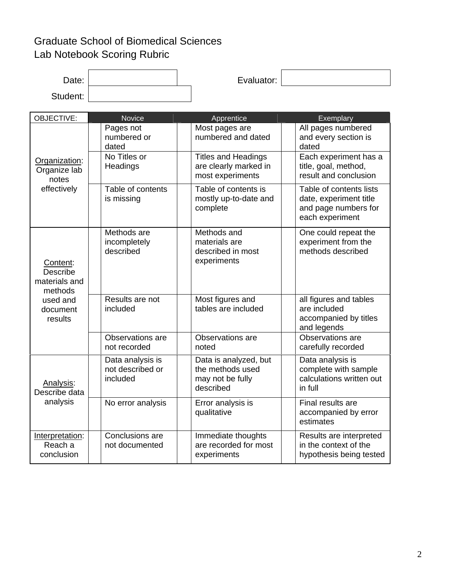## Graduate School of Biomedical Sciences Lab Notebook Scoring Rubric

| Date:                                                                                      |                                                  | Evaluator:                                                                 |                                                                                              |
|--------------------------------------------------------------------------------------------|--------------------------------------------------|----------------------------------------------------------------------------|----------------------------------------------------------------------------------------------|
| Student:                                                                                   |                                                  |                                                                            |                                                                                              |
| OBJECTIVE:                                                                                 | <b>Novice</b>                                    | Apprentice                                                                 | Exemplary                                                                                    |
| Organization:<br>Organize lab<br>notes<br>effectively                                      | Pages not<br>numbered or<br>dated                | Most pages are<br>numbered and dated                                       | All pages numbered<br>and every section is<br>dated                                          |
|                                                                                            | No Titles or<br>Headings                         | <b>Titles and Headings</b><br>are clearly marked in<br>most experiments    | Each experiment has a<br>title, goal, method,<br>result and conclusion                       |
|                                                                                            | Table of contents<br>is missing                  | Table of contents is<br>mostly up-to-date and<br>complete                  | Table of contents lists<br>date, experiment title<br>and page numbers for<br>each experiment |
| Content:<br><b>Describe</b><br>materials and<br>methods<br>used and<br>document<br>results | Methods are<br>incompletely<br>described         | Methods and<br>materials are<br>described in most<br>experiments           | One could repeat the<br>experiment from the<br>methods described                             |
|                                                                                            | Results are not<br>included                      | Most figures and<br>tables are included                                    | all figures and tables<br>are included<br>accompanied by titles<br>and legends               |
|                                                                                            | Observations are<br>not recorded                 | Observations are<br>noted                                                  | Observations are<br>carefully recorded                                                       |
| Analysis:<br>Describe data<br>analysis                                                     | Data analysis is<br>not described or<br>included | Data is analyzed, but<br>the methods used<br>may not be fully<br>described | Data analysis is<br>complete with sample<br>calculations written out<br>in full              |
|                                                                                            | No error analysis                                | Error analysis is<br>qualitative                                           | Final results are<br>accompanied by error<br>estimates                                       |
| Interpretation:<br>Reach a<br>conclusion                                                   | Conclusions are<br>not documented                | Immediate thoughts<br>are recorded for most<br>experiments                 | Results are interpreted<br>in the context of the<br>hypothesis being tested                  |